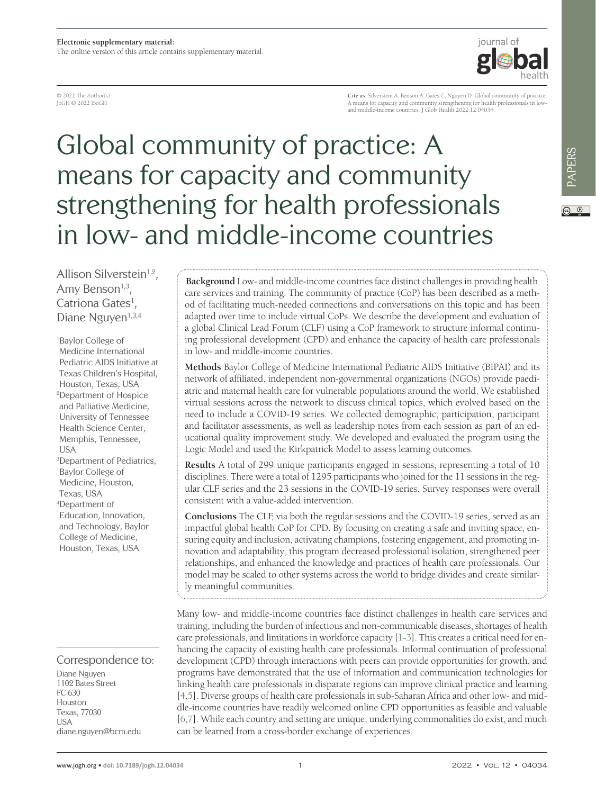© 2022 The Author(s) JoGH © 2022 ISoGH

**Cite as:** Silverstein A, Benson A, Gates C, Nguyen D. Global community of practice: A means for capacity and community strengthening for health professionals in low-and middle-income countries. J Glob Health 2022;12:04034.

iournal of

# Global community of practice: A means for capacity and community strengthening for health professionals in low- and middle-income countries

Allison Silverstein<sup>1,2</sup>, Amy Benson<sup>1,3</sup>. Catriona Gates<sup>1</sup>, Diane Nguyen<sup>1,3,4</sup>

1 Baylor College of Medicine International Pediatric AIDS Initiative at Texas Children's Hospital, Houston, Texas, USA 2 Department of Hospice and Palliative Medicine, University of Tennessee Health Science Center, Memphis, Tennessee, USA 3 Department of Pediatrics, Baylor College of Medicine, Houston, Texas, USA 4 Department of Education, Innovation, and Technology, Baylor

College of Medicine, Houston, Texas, USA

## Correspondence to:

Diane Nguyen 1102 Bates Street FC 630 Houston Texas, 77030 USA diane.nguyen@bcm.edu

**Background** Low- and middle-income countries face distinct challenges in providing health care services and training. The community of practice (CoP) has been described as a method of facilitating much-needed connections and conversations on this topic and has been adapted over time to include virtual CoPs. We describe the development and evaluation of a global Clinical Lead Forum (CLF) using a CoP framework to structure informal continuing professional development (CPD) and enhance the capacity of health care professionals in low- and middle-income countries.

**Methods** Baylor College of Medicine International Pediatric AIDS Initiative (BIPAI) and its network of affiliated, independent non-governmental organizations (NGOs) provide paediatric and maternal health care for vulnerable populations around the world. We established virtual sessions across the network to discuss clinical topics, which evolved based on the need to include a COVID-19 series. We collected demographic, participation, participant and facilitator assessments, as well as leadership notes from each session as part of an educational quality improvement study. We developed and evaluated the program using the Logic Model and used the Kirkpatrick Model to assess learning outcomes.

**Results** A total of 299 unique participants engaged in sessions, representing a total of 10 disciplines. There were a total of 1295 participants who joined for the 11 sessions in the regular CLF series and the 23 sessions in the COVID-19 series. Survey responses were overall consistent with a value-added intervention.

**Conclusions** The CLF, via both the regular sessions and the COVID-19 series, served as an impactful global health CoP for CPD. By focusing on creating a safe and inviting space, ensuring equity and inclusion, activating champions, fostering engagement, and promoting innovation and adaptability, this program decreased professional isolation, strengthened peer relationships, and enhanced the knowledge and practices of health care professionals. Our model may be scaled to other systems across the world to bridge divides and create similarly meaningful communities.

Many low- and middle-income countries face distinct challenges in health care services and training, including the burden of infectious and non-communicable diseases, shortages of health care professionals, and limitations in workforce capacity [[1](#page-7-0)[-3](#page-7-1)]. This creates a critical need for enhancing the capacity of existing health care professionals. Informal continuation of professional development (CPD) through interactions with peers can provide opportunities for growth, and programs have demonstrated that the use of information and communication technologies for linking health care professionals in disparate regions can improve clinical practice and learning [\[4](#page-7-2),[5\]](#page-7-3). Diverse groups of health care professionals in sub-Saharan Africa and other low- and middle-income countries have readily welcomed online CPD opportunities as feasible and valuable [\[6](#page-7-4),[7\]](#page-8-0). While each country and setting are unique, underlying commonalities do exist, and much can be learned from a cross-border exchange of experiences.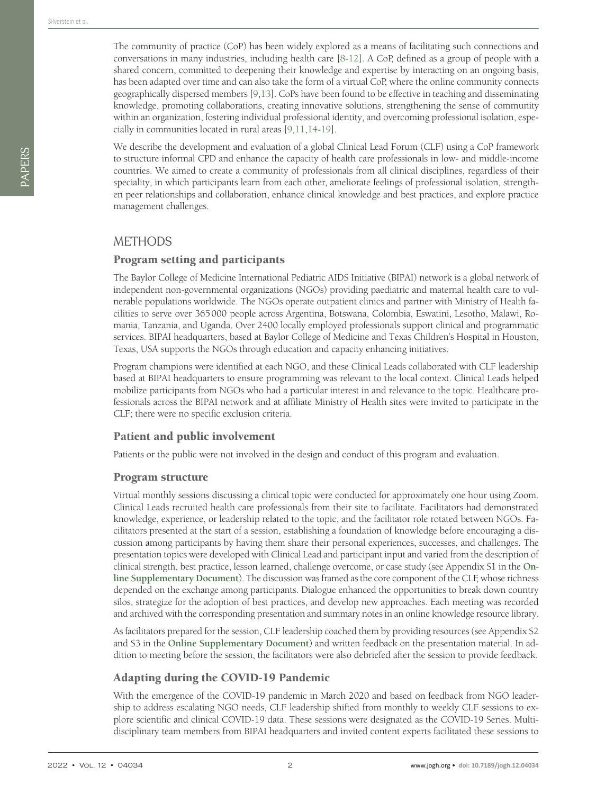The community of practice (CoP) has been widely explored as a means of facilitating such connections and conversations in many industries, including health care [\[8](#page-8-1)[-12\]](#page-8-2). A CoP, defined as a group of people with a shared concern, committed to deepening their knowledge and expertise by interacting on an ongoing basis, has been adapted over time and can also take the form of a virtual CoP, where the online community connects geographically dispersed members [\[9](#page-8-3),[13\]](#page-8-4). CoPs have been found to be effective in teaching and disseminating knowledge, promoting collaborations, creating innovative solutions, strengthening the sense of community within an organization, fostering individual professional identity, and overcoming professional isolation, especially in communities located in rural areas [\[9](#page-8-3),[11](#page-8-5)[,14](#page-8-6)-[19\]](#page-8-7).

We describe the development and evaluation of a global Clinical Lead Forum (CLF) using a CoP framework to structure informal CPD and enhance the capacity of health care professionals in low- and middle-income countries. We aimed to create a community of professionals from all clinical disciplines, regardless of their speciality, in which participants learn from each other, ameliorate feelings of professional isolation, strengthen peer relationships and collaboration, enhance clinical knowledge and best practices, and explore practice management challenges.

## **METHODS**

## Program setting and participants

The Baylor College of Medicine International Pediatric AIDS Initiative (BIPAI) network is a global network of independent non-governmental organizations (NGOs) providing paediatric and maternal health care to vulnerable populations worldwide. The NGOs operate outpatient clinics and partner with Ministry of Health facilities to serve over 365000 people across Argentina, Botswana, Colombia, Eswatini, Lesotho, Malawi, Romania, Tanzania, and Uganda. Over 2400 locally employed professionals support clinical and programmatic services. BIPAI headquarters, based at Baylor College of Medicine and Texas Children's Hospital in Houston, Texas, USA supports the NGOs through education and capacity enhancing initiatives.

Program champions were identified at each NGO, and these Clinical Leads collaborated with CLF leadership based at BIPAI headquarters to ensure programming was relevant to the local context. Clinical Leads helped mobilize participants from NGOs who had a particular interest in and relevance to the topic. Healthcare professionals across the BIPAI network and at affiliate Ministry of Health sites were invited to participate in the CLF; there were no specific exclusion criteria.

## Patient and public involvement

Patients or the public were not involved in the design and conduct of this program and evaluation.

#### Program structure

Virtual monthly sessions discussing a clinical topic were conducted for approximately one hour using Zoom. Clinical Leads recruited health care professionals from their site to facilitate. Facilitators had demonstrated knowledge, experience, or leadership related to the topic, and the facilitator role rotated between NGOs. Facilitators presented at the start of a session, establishing a foundation of knowledge before encouraging a discussion among participants by having them share their personal experiences, successes, and challenges. The presentation topics were developed with Clinical Lead and participant input and varied from the description of clinical strength, best practice, lesson learned, challenge overcome, or case study (see Appendix S1 in the **[On](#page-7-5)[line Supplementary Document](#page-7-5)**). The discussion was framed as the core component of the CLF, whose richness depended on the exchange among participants. Dialogue enhanced the opportunities to break down country silos, strategize for the adoption of best practices, and develop new approaches. Each meeting was recorded and archived with the corresponding presentation and summary notes in an online knowledge resource library.

As facilitators prepared for the session, CLF leadership coached them by providing resources (see Appendix S2 and S3 in the **[Online Supplementary Document](#page-7-5)**) and written feedback on the presentation material. In addition to meeting before the session, the facilitators were also debriefed after the session to provide feedback.

## Adapting during the COVID-19 Pandemic

With the emergence of the COVID-19 pandemic in March 2020 and based on feedback from NGO leadership to address escalating NGO needs, CLF leadership shifted from monthly to weekly CLF sessions to explore scientific and clinical COVID-19 data. These sessions were designated as the COVID-19 Series. Multidisciplinary team members from BIPAI headquarters and invited content experts facilitated these sessions to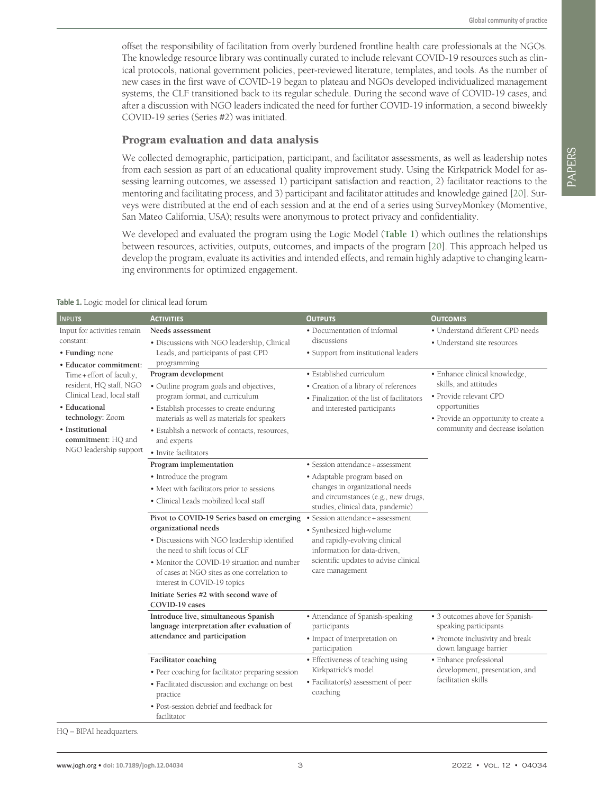offset the responsibility of facilitation from overly burdened frontline health care professionals at the NGOs. The knowledge resource library was continually curated to include relevant COVID-19 resources such as clinical protocols, national government policies, peer-reviewed literature, templates, and tools. As the number of new cases in the first wave of COVID-19 began to plateau and NGOs developed individualized management systems, the CLF transitioned back to its regular schedule. During the second wave of COVID-19 cases, and after a discussion with NGO leaders indicated the need for further COVID-19 information, a second biweekly COVID-19 series (Series #2) was initiated.

#### Program evaluation and data analysis

We collected demographic, participation, participant, and facilitator assessments, as well as leadership notes from each session as part of an educational quality improvement study. Using the Kirkpatrick Model for assessing learning outcomes, we assessed 1) participant satisfaction and reaction, 2) facilitator reactions to the mentoring and facilitating process, and 3) participant and facilitator attitudes and knowledge gained [\[20](#page-8-8)]. Surveys were distributed at the end of each session and at the end of a series using SurveyMonkey (Momentive, San Mateo California, USA); results were anonymous to protect privacy and confidentiality.

We developed and evaluated the program using the Logic Model (**[Table 1](#page-2-0)**) which outlines the relationships between resources, activities, outputs, outcomes, and impacts of the program [\[20](#page-8-8)]. This approach helped us develop the program, evaluate its activities and intended effects, and remain highly adaptive to changing learning environments for optimized engagement.

<span id="page-2-0"></span>

| Table 1. Logic model for clinical lead forum |  |  |  |  |
|----------------------------------------------|--|--|--|--|
|----------------------------------------------|--|--|--|--|

| <b>INPUTS</b>                                                                                                                                                                                                                                                                       | <b>ACTIVITIES</b>                                                                                                                                                                                                                                                                    | <b>OUTPUTS</b>                                                                                                                                                                                                                                     | <b>OUTCOMES</b>                                                                                                                                                               |  |
|-------------------------------------------------------------------------------------------------------------------------------------------------------------------------------------------------------------------------------------------------------------------------------------|--------------------------------------------------------------------------------------------------------------------------------------------------------------------------------------------------------------------------------------------------------------------------------------|----------------------------------------------------------------------------------------------------------------------------------------------------------------------------------------------------------------------------------------------------|-------------------------------------------------------------------------------------------------------------------------------------------------------------------------------|--|
| Input for activities remain<br>constant:<br>• Funding: none<br>· Educator commitment:<br>Time + effort of faculty,<br>resident, HQ staff, NGO<br>Clinical Lead, local staff<br>· Educational<br>technology: Zoom<br>· Institutional<br>commitment: HQ and<br>NGO leadership support | Needs assessment<br>· Discussions with NGO leadership, Clinical<br>Leads, and participants of past CPD<br>programming                                                                                                                                                                | • Documentation of informal<br>discussions<br>• Support from institutional leaders                                                                                                                                                                 | • Understand different CPD needs<br>• Understand site resources                                                                                                               |  |
|                                                                                                                                                                                                                                                                                     | Program development<br>· Outline program goals and objectives,<br>program format, and curriculum<br>· Establish processes to create enduring<br>materials as well as materials for speakers<br>· Establish a network of contacts, resources,<br>and experts<br>· Invite facilitators | · Established curriculum<br>• Creation of a library of references<br>· Finalization of the list of facilitators<br>and interested participants                                                                                                     | · Enhance clinical knowledge,<br>skills, and attitudes<br>· Provide relevant CPD<br>opportunities<br>• Provide an opportunity to create a<br>community and decrease isolation |  |
|                                                                                                                                                                                                                                                                                     | Program implementation<br>• Introduce the program<br>• Meet with facilitators prior to sessions<br>· Clinical Leads mobilized local staff<br>Pivot to COVID-19 Series based on emerging<br>organizational needs                                                                      | • Session attendance + assessment<br>· Adaptable program based on<br>changes in organizational needs<br>and circumstances (e.g., new drugs,<br>studies, clinical data, pandemic)<br>• Session attendance + assessment<br>• Synthesized high-volume |                                                                                                                                                                               |  |
|                                                                                                                                                                                                                                                                                     | • Discussions with NGO leadership identified<br>the need to shift focus of CLF<br>• Monitor the COVID-19 situation and number<br>of cases at NGO sites as one correlation to<br>interest in COVID-19 topics<br>Initiate Series #2 with second wave of<br>COVID-19 cases              | and rapidly-evolving clinical<br>information for data-driven,<br>scientific updates to advise clinical<br>care management                                                                                                                          |                                                                                                                                                                               |  |
|                                                                                                                                                                                                                                                                                     | Introduce live, simultaneous Spanish<br>language interpretation after evaluation of<br>attendance and participation                                                                                                                                                                  | • Attendance of Spanish-speaking<br>participants<br>· Impact of interpretation on<br>participation                                                                                                                                                 | • 3 outcomes above for Spanish-<br>speaking participants<br>• Promote inclusivity and break<br>down language barrier                                                          |  |
|                                                                                                                                                                                                                                                                                     | Facilitator coaching<br>• Peer coaching for facilitator preparing session<br>• Facilitated discussion and exchange on best<br>practice<br>• Post-session debrief and feedback for<br>facilitator                                                                                     | • Effectiveness of teaching using<br>Kirkpatrick's model<br>• Facilitator(s) assessment of peer<br>coaching                                                                                                                                        | • Enhance professional<br>development, presentation, and<br>facilitation skills                                                                                               |  |

HQ – BIPAI headquarters.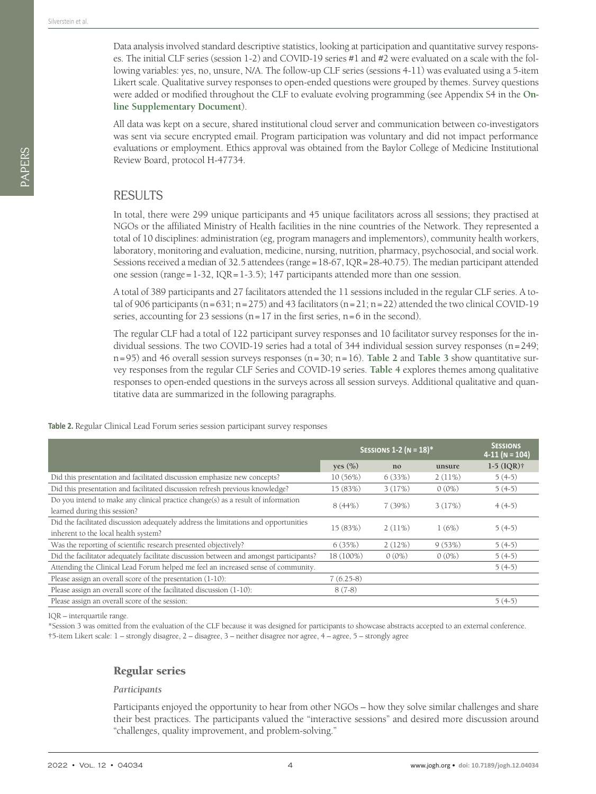Data analysis involved standard descriptive statistics, looking at participation and quantitative survey responses. The initial CLF series (session 1-2) and COVID-19 series #1 and #2 were evaluated on a scale with the following variables: yes, no, unsure, N/A. The follow-up CLF series (sessions 4-11) was evaluated using a 5-item Likert scale. Qualitative survey responses to open-ended questions were grouped by themes. Survey questions were added or modified throughout the CLF to evaluate evolving programming (see Appendix S4 in the **[On](#page-7-5)[line Supplementary Document](#page-7-5)**).

All data was kept on a secure, shared institutional cloud server and communication between co-investigators was sent via secure encrypted email. Program participation was voluntary and did not impact performance evaluations or employment. Ethics approval was obtained from the Baylor College of Medicine Institutional Review Board, protocol H-47734.

## RESULTS

In total, there were 299 unique participants and 45 unique facilitators across all sessions; they practised at NGOs or the affiliated Ministry of Health facilities in the nine countries of the Network. They represented a total of 10 disciplines: administration (eg, program managers and implementors), community health workers, laboratory, monitoring and evaluation, medicine, nursing, nutrition, pharmacy, psychosocial, and social work. Sessions received a median of 32.5 attendees (range=18-67, IQR=28-40.75). The median participant attended one session (range= $1-32$ , IQR= $1-3.5$ ); 147 participants attended more than one session.

A total of 389 participants and 27 facilitators attended the 11 sessions included in the regular CLF series. A total of 906 participants  $(n=631; n=275)$  and 43 facilitators  $(n=21; n=22)$  attended the two clinical COVID-19 series, accounting for 23 sessions ( $n=17$  in the first series,  $n=6$  in the second).

The regular CLF had a total of 122 participant survey responses and 10 facilitator survey responses for the individual sessions. The two COVID-19 series had a total of 344 individual session survey responses (n=249; n=95) and 46 overall session surveys responses (n=30; n=16). **[Table 2](#page-3-0)** and **[Table 3](#page-4-0)** show quantitative survey responses from the regular CLF Series and COVID-19 series. **[Table 4](#page-4-1)** explores themes among qualitative responses to open-ended questions in the surveys across all session surveys. Additional qualitative and quantitative data are summarized in the following paragraphs.

#### <span id="page-3-0"></span>**Table 2.** Regular Clinical Lead Forum series session participant survey responses

|                                                                                        | SESSIONS 1-2 ( $N = 18$ )* |          |          | <b>SESSIONS</b><br>$4-11$ (N = 104) |
|----------------------------------------------------------------------------------------|----------------------------|----------|----------|-------------------------------------|
|                                                                                        | yes $(\%)$                 | no       | unsure   | $1-5$ (IQR) $\dagger$               |
| Did this presentation and facilitated discussion emphasize new concepts?               | 10(56%)                    | 6(33%)   | 2(11%)   | $5(4-5)$                            |
| Did this presentation and facilitated discussion refresh previous knowledge?           | 15 (83%)                   | 3(17%)   | $0(0\%)$ | $5(4-5)$                            |
| Do you intend to make any clinical practice change(s) as a result of information       | 8(44%)<br>7(39%)           |          | 3(17%)   | $4(4-5)$                            |
| learned during this session?                                                           |                            |          |          |                                     |
| Did the facilitated discussion adequately address the limitations and opportunities    | 15 (83%)                   | 2(11%)   | 1(6%)    | $5(4-5)$                            |
| inherent to the local health system?                                                   |                            |          |          |                                     |
| Was the reporting of scientific research presented objectively?                        | 6(35%)                     | 2(12%)   | 9(53%)   | $5(4-5)$                            |
| Did the facilitator adequately facilitate discussion between and amongst participants? | 18 (100%)                  | $0(0\%)$ | $0(0\%)$ | $5(4-5)$                            |
| Attending the Clinical Lead Forum helped me feel an increased sense of community.      |                            |          |          | $5(4-5)$                            |
| Please assign an overall score of the presentation (1-10):                             | $7(6.25-8)$                |          |          |                                     |
| Please assign an overall score of the facilitated discussion (1-10):                   | $8(7-8)$                   |          |          |                                     |
| Please assign an overall score of the session:                                         |                            |          |          | $5(4-5)$                            |

IQR – interquartile range.

\*Session 3 was omitted from the evaluation of the CLF because it was designed for participants to showcase abstracts accepted to an external conference. †5-item Likert scale: 1 – strongly disagree, 2 – disagree, 3 – neither disagree nor agree, 4 – agree, 5 – strongly agree

## Regular series

#### *Participants*

Participants enjoyed the opportunity to hear from other NGOs – how they solve similar challenges and share their best practices. The participants valued the "interactive sessions" and desired more discussion around "challenges, quality improvement, and problem-solving."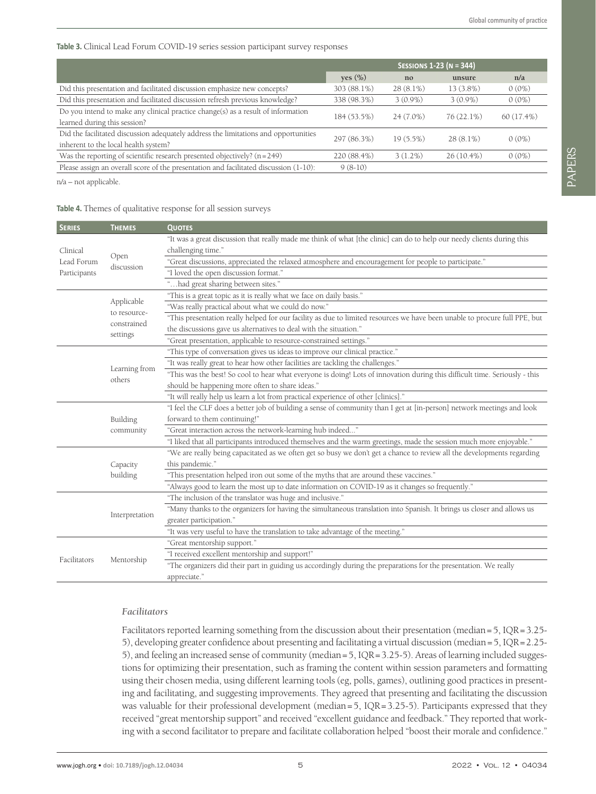#### <span id="page-4-0"></span>**Table 3.** Clinical Lead Forum COVID-19 series session participant survey responses

|                                                                                                                             | <b>SESSIONS 1-23 (N = 344)</b> |             |              |            |
|-----------------------------------------------------------------------------------------------------------------------------|--------------------------------|-------------|--------------|------------|
|                                                                                                                             | yes $(\%)$                     | no          | unsure       | n/a        |
| Did this presentation and facilitated discussion emphasize new concepts?                                                    | 303 (88.1%)                    | $28(8.1\%)$ | $13(3.8\%)$  | $0(0\%)$   |
| Did this presentation and facilitated discussion refresh previous knowledge?                                                | 338 (98.3%)                    | $3(0.9\%)$  | $3(0.9\%)$   | $0(0\%)$   |
| Do you intend to make any clinical practice change(s) as a result of information<br>learned during this session?            | 184 (53.5%)                    | $24(7.0\%)$ | 76 (22.1%)   | 60 (17.4%) |
| Did the facilitated discussion adequately address the limitations and opportunities<br>inherent to the local health system? | 297 (86.3%)                    | $19(5.5\%)$ | $28(8.1\%)$  | $0(0\%)$   |
| Was the reporting of scientific research presented objectively? $(n=249)$                                                   | 220 (88.4%)                    | 3(1.2%)     | $26(10.4\%)$ | $0(0\%)$   |
| Please assign an overall score of the presentation and facilitated discussion (1-10):                                       | $9(8-10)$                      |             |              |            |

n/a – not applicable.

#### <span id="page-4-1"></span>**Table 4.** Themes of qualitative response for all session surveys

| <b>SERIES</b>                          | <b>THEMES</b>                                         | <b>QUOTES</b>                                                                                                               |
|----------------------------------------|-------------------------------------------------------|-----------------------------------------------------------------------------------------------------------------------------|
| Clinical<br>Lead Forum<br>Participants |                                                       | "It was a great discussion that really made me think of what [the clinic] can do to help our needy clients during this      |
|                                        | Open<br>discussion                                    | challenging time."                                                                                                          |
|                                        |                                                       | "Great discussions, appreciated the relaxed atmosphere and encouragement for people to participate."                        |
|                                        |                                                       | "I loved the open discussion format."                                                                                       |
|                                        |                                                       | had great sharing between sites."                                                                                           |
|                                        | Applicable<br>to resource-<br>constrained<br>settings | "This is a great topic as it is really what we face on daily basis."                                                        |
|                                        |                                                       | "Was really practical about what we could do now."                                                                          |
|                                        |                                                       | "This presentation really helped for our facility as due to limited resources we have been unable to procure full PPE, but  |
|                                        |                                                       | the discussions gave us alternatives to deal with the situation."                                                           |
|                                        |                                                       | "Great presentation, applicable to resource-constrained settings."                                                          |
|                                        |                                                       | "This type of conversation gives us ideas to improve our clinical practice."                                                |
|                                        |                                                       | "It was really great to hear how other facilities are tackling the challenges."                                             |
|                                        | Learning from<br>others                               | "This was the best! So cool to hear what everyone is doing! Lots of innovation during this difficult time. Seriously - this |
|                                        |                                                       | should be happening more often to share ideas."                                                                             |
|                                        |                                                       | "It will really help us learn a lot from practical experience of other [clinics]."                                          |
|                                        |                                                       | "I feel the CLF does a better job of building a sense of community than I get at [in-person] network meetings and look      |
|                                        | Building                                              | forward to them continuing!"                                                                                                |
|                                        | community                                             | "Great interaction across the network-learning hub indeed"                                                                  |
|                                        |                                                       | "I liked that all participants introduced themselves and the warm greetings, made the session much more enjoyable."         |
|                                        | Capacity<br>building                                  | "We are really being capacitated as we often get so busy we don't get a chance to review all the developments regarding     |
|                                        |                                                       | this pandemic."                                                                                                             |
|                                        |                                                       | "This presentation helped iron out some of the myths that are around these vaccines."                                       |
|                                        |                                                       | "Always good to learn the most up to date information on COVID-19 as it changes so frequently."                             |
|                                        | Interpretation                                        | "The inclusion of the translator was huge and inclusive."                                                                   |
|                                        |                                                       | "Many thanks to the organizers for having the simultaneous translation into Spanish. It brings us closer and allows us      |
|                                        |                                                       | greater participation."                                                                                                     |
|                                        |                                                       | "It was very useful to have the translation to take advantage of the meeting."                                              |
| Facilitators                           |                                                       | "Great mentorship support."                                                                                                 |
|                                        | Mentorship                                            | "I received excellent mentorship and support!"                                                                              |
|                                        |                                                       | "The organizers did their part in guiding us accordingly during the preparations for the presentation. We really            |
|                                        |                                                       | appreciate."                                                                                                                |

#### *Facilitators*

Facilitators reported learning something from the discussion about their presentation (median=5,  $IQR=3.25-$ 5), developing greater confidence about presenting and facilitating a virtual discussion (median=5, IQR=2.25- 5), and feeling an increased sense of community (median=5, IQR=3.25-5). Areas of learning included suggestions for optimizing their presentation, such as framing the content within session parameters and formatting using their chosen media, using different learning tools (eg, polls, games), outlining good practices in presenting and facilitating, and suggesting improvements. They agreed that presenting and facilitating the discussion was valuable for their professional development (median=5, IQR=3.25-5). Participants expressed that they received "great mentorship support" and received "excellent guidance and feedback." They reported that working with a second facilitator to prepare and facilitate collaboration helped "boost their morale and confidence."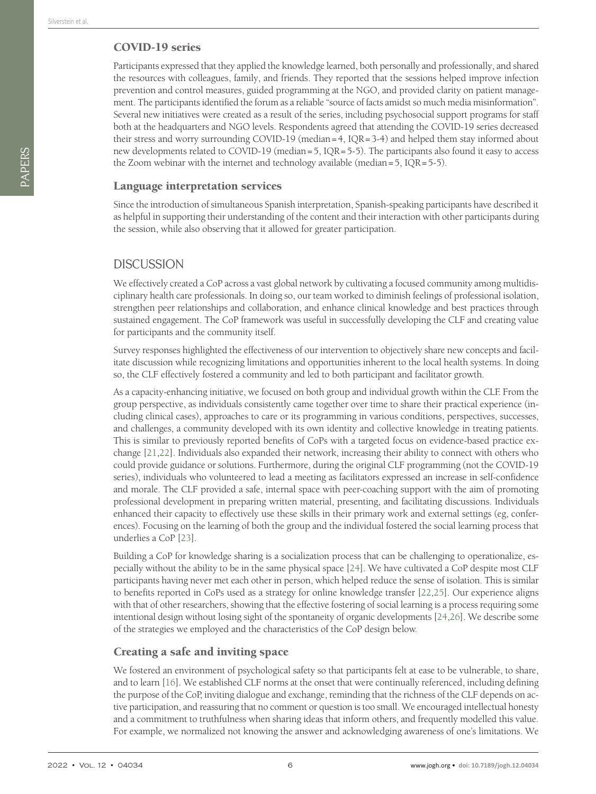## COVID-19 series

Participants expressed that they applied the knowledge learned, both personally and professionally, and shared the resources with colleagues, family, and friends. They reported that the sessions helped improve infection prevention and control measures, guided programming at the NGO, and provided clarity on patient management. The participants identified the forum as a reliable "source of facts amidst so much media misinformation". Several new initiatives were created as a result of the series, including psychosocial support programs for staff both at the headquarters and NGO levels. Respondents agreed that attending the COVID-19 series decreased their stress and worry surrounding COVID-19 (median=4, IQR=3-4) and helped them stay informed about new developments related to COVID-19 (median=5, IQR=5-5). The participants also found it easy to access the Zoom webinar with the internet and technology available (median=5, IQR=5-5).

## Language interpretation services

Since the introduction of simultaneous Spanish interpretation, Spanish-speaking participants have described it as helpful in supporting their understanding of the content and their interaction with other participants during the session, while also observing that it allowed for greater participation.

## **DISCUSSION**

We effectively created a CoP across a vast global network by cultivating a focused community among multidisciplinary health care professionals. In doing so, our team worked to diminish feelings of professional isolation, strengthen peer relationships and collaboration, and enhance clinical knowledge and best practices through sustained engagement. The CoP framework was useful in successfully developing the CLF and creating value for participants and the community itself.

Survey responses highlighted the effectiveness of our intervention to objectively share new concepts and facilitate discussion while recognizing limitations and opportunities inherent to the local health systems. In doing so, the CLF effectively fostered a community and led to both participant and facilitator growth.

As a capacity-enhancing initiative, we focused on both group and individual growth within the CLF. From the group perspective, as individuals consistently came together over time to share their practical experience (including clinical cases), approaches to care or its programming in various conditions, perspectives, successes, and challenges, a community developed with its own identity and collective knowledge in treating patients. This is similar to previously reported benefits of CoPs with a targeted focus on evidence-based practice exchange [[21](#page-8-9)[,22\]](#page-8-10). Individuals also expanded their network, increasing their ability to connect with others who could provide guidance or solutions. Furthermore, during the original CLF programming (not the COVID-19 series), individuals who volunteered to lead a meeting as facilitators expressed an increase in self-confidence and morale. The CLF provided a safe, internal space with peer-coaching support with the aim of promoting professional development in preparing written material, presenting, and facilitating discussions. Individuals enhanced their capacity to effectively use these skills in their primary work and external settings (eg, conferences). Focusing on the learning of both the group and the individual fostered the social learning process that underlies a CoP [[23\]](#page-8-11).

Building a CoP for knowledge sharing is a socialization process that can be challenging to operationalize, especially without the ability to be in the same physical space [[24\]](#page-8-12). We have cultivated a CoP despite most CLF participants having never met each other in person, which helped reduce the sense of isolation. This is similar to benefits reported in CoPs used as a strategy for online knowledge transfer [\[22](#page-8-10),[25\]](#page-8-13). Our experience aligns with that of other researchers, showing that the effective fostering of social learning is a process requiring some intentional design without losing sight of the spontaneity of organic developments [\[24](#page-8-12),[26\]](#page-8-14). We describe some of the strategies we employed and the characteristics of the CoP design below.

## Creating a safe and inviting space

We fostered an environment of psychological safety so that participants felt at ease to be vulnerable, to share, and to learn [\[16](#page-8-15)]. We established CLF norms at the onset that were continually referenced, including defining the purpose of the CoP, inviting dialogue and exchange, reminding that the richness of the CLF depends on active participation, and reassuring that no comment or question is too small. We encouraged intellectual honesty and a commitment to truthfulness when sharing ideas that inform others, and frequently modelled this value. For example, we normalized not knowing the answer and acknowledging awareness of one's limitations. We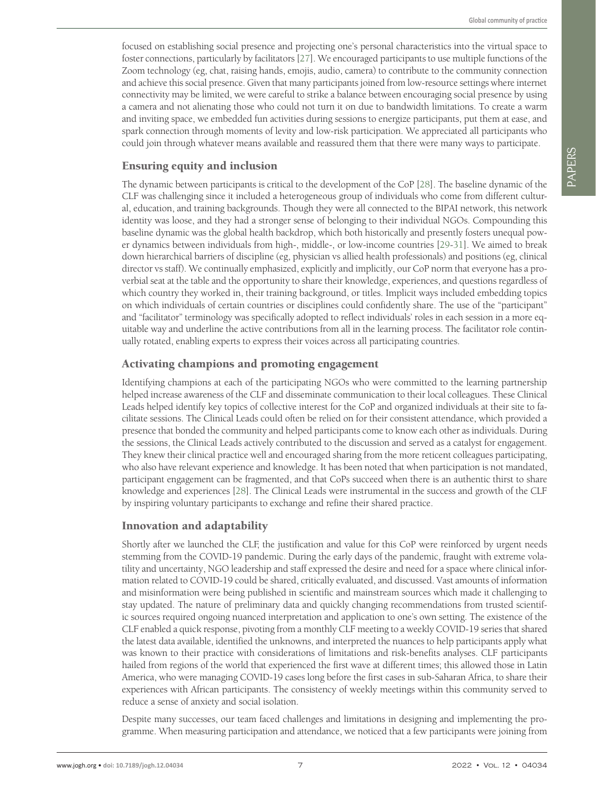focused on establishing social presence and projecting one's personal characteristics into the virtual space to foster connections, particularly by facilitators [[27\]](#page-8-16). We encouraged participants to use multiple functions of the Zoom technology (eg, chat, raising hands, emojis, audio, camera) to contribute to the community connection and achieve this social presence. Given that many participants joined from low-resource settings where internet connectivity may be limited, we were careful to strike a balance between encouraging social presence by using a camera and not alienating those who could not turn it on due to bandwidth limitations. To create a warm and inviting space, we embedded fun activities during sessions to energize participants, put them at ease, and spark connection through moments of levity and low-risk participation. We appreciated all participants who could join through whatever means available and reassured them that there were many ways to participate.

## Ensuring equity and inclusion

The dynamic between participants is critical to the development of the CoP [[28\]](#page-8-17). The baseline dynamic of the CLF was challenging since it included a heterogeneous group of individuals who come from different cultural, education, and training backgrounds. Though they were all connected to the BIPAI network, this network identity was loose, and they had a stronger sense of belonging to their individual NGOs. Compounding this baseline dynamic was the global health backdrop, which both historically and presently fosters unequal power dynamics between individuals from high-, middle-, or low-income countries [[29-](#page-8-18)[31](#page-8-19)]. We aimed to break down hierarchical barriers of discipline (eg, physician vs allied health professionals) and positions (eg, clinical director vs staff). We continually emphasized, explicitly and implicitly, our CoP norm that everyone has a proverbial seat at the table and the opportunity to share their knowledge, experiences, and questions regardless of which country they worked in, their training background, or titles. Implicit ways included embedding topics on which individuals of certain countries or disciplines could confidently share. The use of the "participant" and "facilitator" terminology was specifically adopted to reflect individuals' roles in each session in a more equitable way and underline the active contributions from all in the learning process. The facilitator role continually rotated, enabling experts to express their voices across all participating countries.

## Activating champions and promoting engagement

Identifying champions at each of the participating NGOs who were committed to the learning partnership helped increase awareness of the CLF and disseminate communication to their local colleagues. These Clinical Leads helped identify key topics of collective interest for the CoP and organized individuals at their site to facilitate sessions. The Clinical Leads could often be relied on for their consistent attendance, which provided a presence that bonded the community and helped participants come to know each other as individuals. During the sessions, the Clinical Leads actively contributed to the discussion and served as a catalyst for engagement. They knew their clinical practice well and encouraged sharing from the more reticent colleagues participating, who also have relevant experience and knowledge. It has been noted that when participation is not mandated, participant engagement can be fragmented, and that CoPs succeed when there is an authentic thirst to share knowledge and experiences [[28\]](#page-8-17). The Clinical Leads were instrumental in the success and growth of the CLF by inspiring voluntary participants to exchange and refine their shared practice.

## Innovation and adaptability

Shortly after we launched the CLF, the justification and value for this CoP were reinforced by urgent needs stemming from the COVID-19 pandemic. During the early days of the pandemic, fraught with extreme volatility and uncertainty, NGO leadership and staff expressed the desire and need for a space where clinical information related to COVID-19 could be shared, critically evaluated, and discussed. Vast amounts of information and misinformation were being published in scientific and mainstream sources which made it challenging to stay updated. The nature of preliminary data and quickly changing recommendations from trusted scientific sources required ongoing nuanced interpretation and application to one's own setting. The existence of the CLF enabled a quick response, pivoting from a monthly CLF meeting to a weekly COVID-19 series that shared the latest data available, identified the unknowns, and interpreted the nuances to help participants apply what was known to their practice with considerations of limitations and risk-benefits analyses. CLF participants hailed from regions of the world that experienced the first wave at different times; this allowed those in Latin America, who were managing COVID-19 cases long before the first cases in sub-Saharan Africa, to share their experiences with African participants. The consistency of weekly meetings within this community served to reduce a sense of anxiety and social isolation.

Despite many successes, our team faced challenges and limitations in designing and implementing the programme. When measuring participation and attendance, we noticed that a few participants were joining from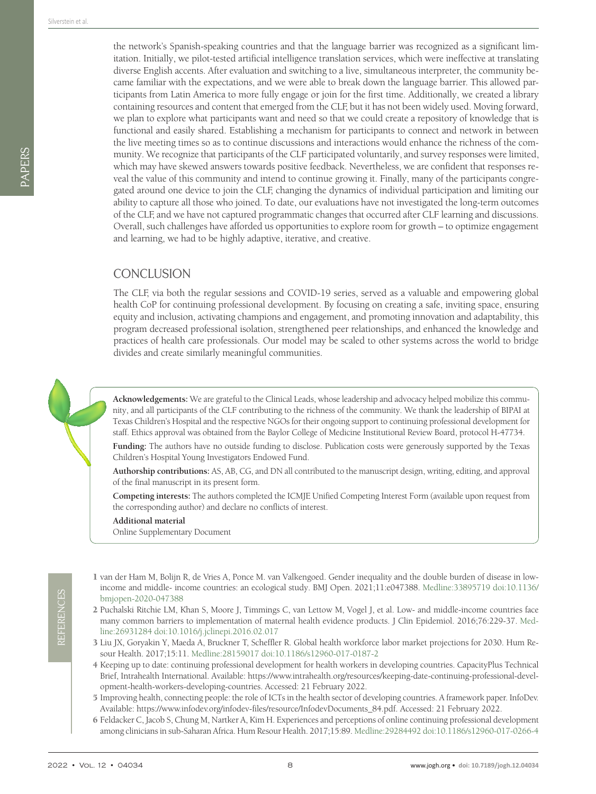PAPERS

the network's Spanish-speaking countries and that the language barrier was recognized as a significant limitation. Initially, we pilot-tested artificial intelligence translation services, which were ineffective at translating diverse English accents. After evaluation and switching to a live, simultaneous interpreter, the community became familiar with the expectations, and we were able to break down the language barrier. This allowed participants from Latin America to more fully engage or join for the first time. Additionally, we created a library containing resources and content that emerged from the CLF, but it has not been widely used. Moving forward, we plan to explore what participants want and need so that we could create a repository of knowledge that is functional and easily shared. Establishing a mechanism for participants to connect and network in between the live meeting times so as to continue discussions and interactions would enhance the richness of the community. We recognize that participants of the CLF participated voluntarily, and survey responses were limited, which may have skewed answers towards positive feedback. Nevertheless, we are confident that responses reveal the value of this community and intend to continue growing it. Finally, many of the participants congregated around one device to join the CLF, changing the dynamics of individual participation and limiting our ability to capture all those who joined. To date, our evaluations have not investigated the long-term outcomes of the CLF, and we have not captured programmatic changes that occurred after CLF learning and discussions. Overall, such challenges have afforded us opportunities to explore room for growth – to optimize engagement and learning, we had to be highly adaptive, iterative, and creative.

# **CONCLUSION**

The CLF, via both the regular sessions and COVID-19 series, served as a valuable and empowering global health CoP for continuing professional development. By focusing on creating a safe, inviting space, ensuring equity and inclusion, activating champions and engagement, and promoting innovation and adaptability, this program decreased professional isolation, strengthened peer relationships, and enhanced the knowledge and practices of health care professionals. Our model may be scaled to other systems across the world to bridge divides and create similarly meaningful communities.



**Acknowledgements:** We are grateful to the Clinical Leads, whose leadership and advocacy helped mobilize this community, and all participants of the CLF contributing to the richness of the community. We thank the leadership of BIPAI at Texas Children's Hospital and the respective NGOs for their ongoing support to continuing professional development for staff. Ethics approval was obtained from the Baylor College of Medicine Institutional Review Board, protocol H-47734.

**Funding:** The authors have no outside funding to disclose. Publication costs were generously supported by the Texas Children's Hospital Young Investigators Endowed Fund.

**Authorship contributions:** AS, AB, CG, and DN all contributed to the manuscript design, writing, editing, and approval of the final manuscript in its present form.

**Competing interests:** The authors completed the ICMJE Unified Competing Interest Form (available upon request from the corresponding author) and declare no conflicts of interest.

**Additional material**

<span id="page-7-5"></span>[Online Supplementary Document](https://jogh.org/documents/2022/jogh-12-04046-s001.pdf)

- <span id="page-7-0"></span>1 van der Ham M, Bolijn R, de Vries A, Ponce M. van Valkengoed. Gender inequality and the double burden of disease in lowincome and middle- income countries: an ecological study. BMJ Open. 2021;11:e047388. [Medline:33895719](https://www.ncbi.nlm.nih.gov/entrez/query.fcgi?cmd=Retrieve&db=PubMed&list_uids=33895719&dopt=Abstract) [doi:10.1136/](https://doi.org/10.1136/bmjopen-2020-047388) [bmjopen-2020-047388](https://doi.org/10.1136/bmjopen-2020-047388)
- 2 Puchalski Ritchie LM, Khan S, Moore J, Timmings C, van Lettow M, Vogel J, et al. Low- and middle-income countries face many common barriers to implementation of maternal health evidence products. J Clin Epidemiol. 2016;76:229-37. [Med](https://www.ncbi.nlm.nih.gov/entrez/query.fcgi?cmd=Retrieve&db=PubMed&list_uids=26931284&dopt=Abstract)[line:26931284](https://www.ncbi.nlm.nih.gov/entrez/query.fcgi?cmd=Retrieve&db=PubMed&list_uids=26931284&dopt=Abstract) [doi:10.1016/j.jclinepi.2016.02.017](https://doi.org/10.1016/j.jclinepi.2016.02.017)
- <span id="page-7-1"></span>3 Liu JX, Goryakin Y, Maeda A, Bruckner T, Scheffler R. Global health workforce labor market projections for 2030. Hum Resour Health. 2017;15:11. [Medline:28159017](https://www.ncbi.nlm.nih.gov/entrez/query.fcgi?cmd=Retrieve&db=PubMed&list_uids=28159017&dopt=Abstract) [doi:10.1186/s12960-017-0187-2](https://doi.org/10.1186/s12960-017-0187-2)
- <span id="page-7-2"></span>4 Keeping up to date: continuing professional development for health workers in developing countries. CapacityPlus Technical Brief, Intrahealth International. Available: [https://www.intrahealth.org/resources/keeping-date-continuing-professional-devel](https://www.intrahealth.org/resources/keeping-date-continuing-professional-development-health-worker)[opment-health-workers-developing-countries](https://www.intrahealth.org/resources/keeping-date-continuing-professional-development-health-worker). Accessed: 21 February 2022.
- <span id="page-7-3"></span>5 Improving health, connecting people: the role of ICTs in the health sector of developing countries. A framework paper. InfoDev. Available: [https://www.infodev.org/infodev-files/resource/InfodevDocuments\\_84.pdf](https://www.infodev.org/infodev-files/resource/InfodevDocuments_84.pdf). Accessed: 21 February 2022.
- <span id="page-7-4"></span>6 Feldacker C, Jacob S, Chung M, Nartker A, Kim H. Experiences and perceptions of online continuing professional development among clinicians in sub-Saharan Africa. Hum Resour Health. 2017;15:89. [Medline:29284492](https://www.ncbi.nlm.nih.gov/entrez/query.fcgi?cmd=Retrieve&db=PubMed&list_uids=29284492&dopt=Abstract) [doi:10.1186/s12960-017-0266-4](https://doi.org/10.1186/s12960-017-0266-4)